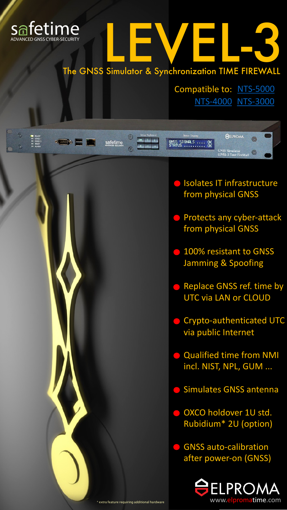

 $= 0.0537$ 

**SEED & BEE** 



GNSS SIGNALS .... OK<br>STATUS .......... OK

 $\kappa$  , and a set of  $\kappa$ 

safetime

 $\odot$ 

Compatible to: [NTS-5000](https://elpromatime.com/nts-5000-brochure/) [NTS-4000](https://elpromatime.com/nts-4000-brochure/) [NTS-3000](https://elpromatime.com/nts-3000-brochure/)

**A**ELPROMA

**GNSS Simulator**<br>LEVEL-3 Time FireWall

0



- **Isolates IT infrastructure** from physical GNSS
- Protects any cyber-attack from physical GNSS
- 100% resistant to GNSS Jamming & Spoofing
- Replace GNSS ref. time by UTC via LAN or CLOUD
- **Crypto-authenticated UTC** via public Internet
- **Qualified time from NMI** incl. NIST, NPL, GUM ...
- Simulates GNSS antenna
- O OXCO holdover 1U std. Rubidium\* 2U (option)

**GNSS auto-calibration** after power-on (GNSS)